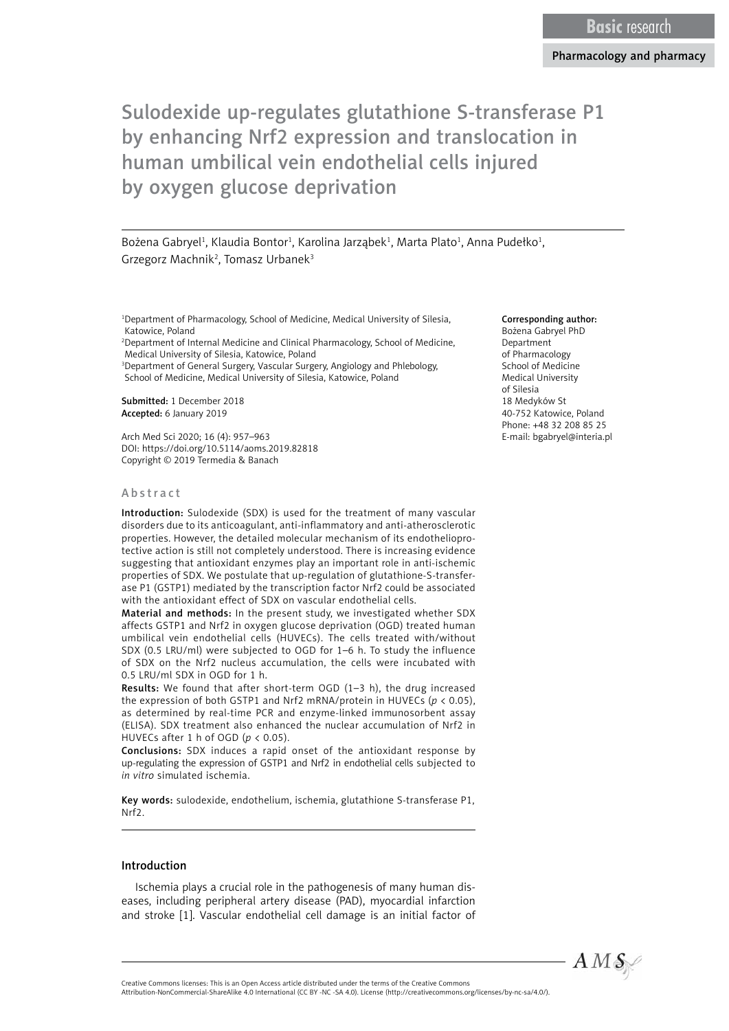# Sulodexide up-regulates glutathione S-transferase P1 by enhancing Nrf2 expression and translocation in human umbilical vein endothelial cells injured by oxygen glucose deprivation

Bożena Gabryel<sup>1</sup>, Klaudia Bontor<sup>1</sup>, Karolina Jarząbek<sup>1</sup>, Marta Plato<sup>1</sup>, Anna Pudełko<sup>1</sup>, Grzegorz Machnik<sup>2</sup>, Tomasz Urbanek<sup>3</sup>

<sup>1</sup>Department of Pharmacology, School of Medicine, Medical University of Silesia, Katowice, Poland

2 Department of Internal Medicine and Clinical Pharmacology, School of Medicine, Medical University of Silesia, Katowice, Poland

3 Department of General Surgery, Vascular Surgery, Angiology and Phlebology, School of Medicine, Medical University of Silesia, Katowice, Poland

Submitted: 1 December 2018 Accepted: 6 January 2019

Arch Med Sci 2020; 16 (4): 957–963 DOI: https://doi.org/10.5114/aoms.2019.82818 Copyright © 2019 Termedia & Banach

### Abstract

Introduction: Sulodexide (SDX) is used for the treatment of many vascular disorders due to its anticoagulant, anti-inflammatory and anti-atherosclerotic properties. However, the detailed molecular mechanism of its endothelioprotective action is still not completely understood. There is increasing evidence suggesting that antioxidant enzymes play an important role in anti-ischemic properties of SDX. We postulate that up-regulation of glutathione-S-transferase P1 (GSTP1) mediated by the transcription factor Nrf2 could be associated with the antioxidant effect of SDX on vascular endothelial cells.

Material and methods: In the present study, we investigated whether SDX affects GSTP1 and Nrf2 in oxygen glucose deprivation (OGD) treated human umbilical vein endothelial cells (HUVECs). The cells treated with/without SDX (0.5 LRU/ml) were subjected to OGD for 1–6 h. To study the influence of SDX on the Nrf2 nucleus accumulation, the cells were incubated with 0.5 LRU/ml SDX in OGD for 1 h.

Results: We found that after short-term OGD (1–3 h), the drug increased the expression of both GSTP1 and Nrf2 mRNA/protein in HUVECs (*p* < 0.05), as determined by real-time PCR and enzyme-linked immunosorbent assay (ELISA). SDX treatment also enhanced the nuclear accumulation of Nrf2 in HUVECs after 1 h of OGD (*p* < 0.05).

Conclusions: SDX induces a rapid onset of the antioxidant response by up-regulating the expression of GSTP1 and Nrf2 in endothelial cells subjected to *in vitro* simulated ischemia.

Key words: sulodexide, endothelium, ischemia, glutathione S-transferase P1, Nrf2.

#### Introduction

Ischemia plays a crucial role in the pathogenesis of many human diseases, including peripheral artery disease (PAD), myocardial infarction and stroke [1]. Vascular endothelial cell damage is an initial factor of

#### Corresponding author:

Bożena Gabryel PhD Department of Pharmacology School of Medicine Medical University of Silesia 18 Medyków St 40-752 Katowice, Poland Phone: +48 32 208 85 25 E-mail: bgabryel@interia.pl



Creative Commons licenses: This is an Open Access article distributed under the terms of the Creative Commons

Attribution-NonCommercial-ShareAlike 4.0 International (CC BY -NC -SA 4.0). License (http://creativecommons.org/licenses/by-nc-sa/4.0/).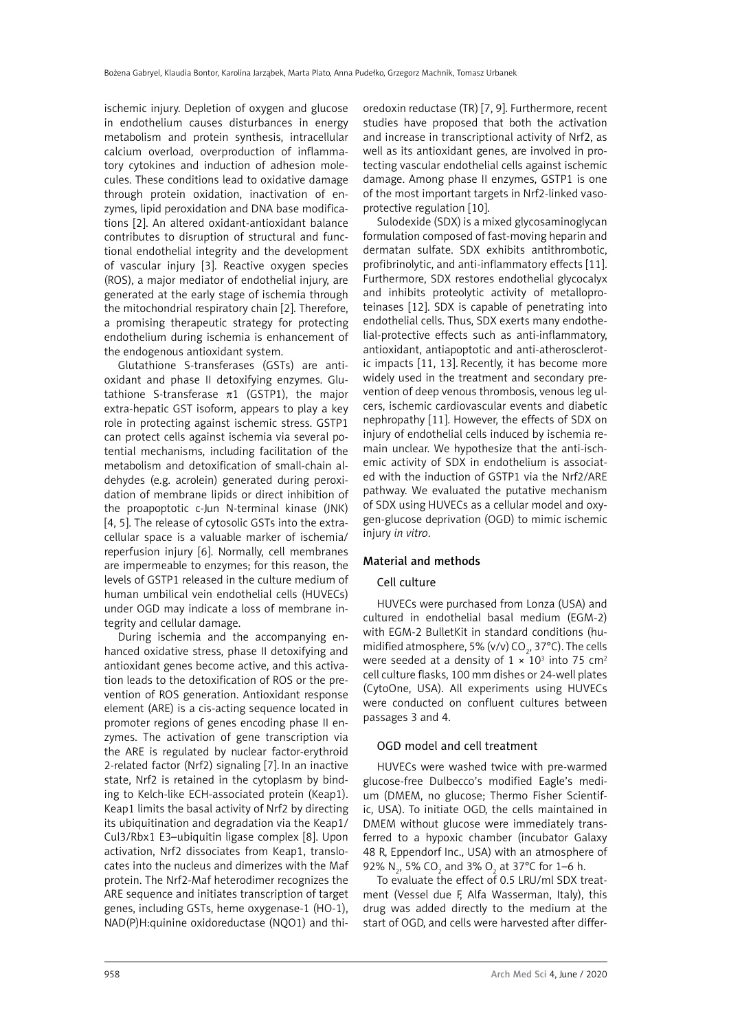ischemic injury. Depletion of oxygen and glucose in endothelium causes disturbances in energy metabolism and protein synthesis, intracellular calcium overload, overproduction of inflammatory cytokines and induction of adhesion molecules. These conditions lead to oxidative damage through protein oxidation, inactivation of enzymes, lipid peroxidation and DNA base modifications [2]. An altered oxidant-antioxidant balance contributes to disruption of structural and functional endothelial integrity and the development of vascular injury [3]. Reactive oxygen species (ROS), a major mediator of endothelial injury, are generated at the early stage of ischemia through the mitochondrial respiratory chain [2]. Therefore, a promising therapeutic strategy for protecting endothelium during ischemia is enhancement of the endogenous antioxidant system.

Glutathione S-transferases (GSTs) are antioxidant and phase II detoxifying enzymes. Glutathione S-transferase  $\pi$ 1 (GSTP1), the major extra-hepatic GST isoform, appears to play a key role in protecting against ischemic stress. GSTP1 can protect cells against ischemia via several potential mechanisms, including facilitation of the metabolism and detoxification of small-chain aldehydes (e.g. acrolein) generated during peroxidation of membrane lipids or direct inhibition of the proapoptotic c-Jun N-terminal kinase (JNK) [4, 5]. The release of cytosolic GSTs into the extracellular space is a valuable marker of ischemia/ reperfusion injury [6]. Normally, cell membranes are impermeable to enzymes; for this reason, the levels of GSTP1 released in the culture medium of human umbilical vein endothelial cells (HUVECs) under OGD may indicate a loss of membrane integrity and cellular damage.

During ischemia and the accompanying enhanced oxidative stress, phase II detoxifying and antioxidant genes become active, and this activation leads to the detoxification of ROS or the prevention of ROS generation. Antioxidant response element (ARE) is a cis-acting sequence located in promoter regions of genes encoding phase II enzymes. The activation of gene transcription via the ARE is regulated by nuclear factor-erythroid 2-related factor (Nrf2) signaling [7]. In an inactive state, Nrf2 is retained in the cytoplasm by binding to Kelch-like ECH-associated protein (Keap1). Keap1 limits the basal activity of Nrf2 by directing its ubiquitination and degradation via the Keap1/ Cul3/Rbx1 E3–ubiquitin ligase complex [8]. Upon activation, Nrf2 dissociates from Keap1, translocates into the nucleus and dimerizes with the Maf protein. The Nrf2-Maf heterodimer recognizes the ARE sequence and initiates transcription of target genes, including GSTs, heme oxygenase-1 (HO-1), NAD(P)H:quinine oxidoreductase (NQO1) and thioredoxin reductase (TR) [7, 9]. Furthermore, recent studies have proposed that both the activation and increase in transcriptional activity of Nrf2, as well as its antioxidant genes, are involved in protecting vascular endothelial cells against ischemic damage. Among phase II enzymes, GSTP1 is one of the most important targets in Nrf2-linked vasoprotective regulation [10].

Sulodexide (SDX) is a mixed glycosaminoglycan formulation composed of fast-moving heparin and dermatan sulfate. SDX exhibits antithrombotic, profibrinolytic, and anti-inflammatory effects [11]. Furthermore, SDX restores endothelial glycocalyx and inhibits proteolytic activity of metalloproteinases [12]. SDX is capable of penetrating into endothelial cells. Thus, SDX exerts many endothelial-protective effects such as anti-inflammatory, antioxidant, antiapoptotic and anti-atherosclerotic impacts [11, 13]. Recently, it has become more widely used in the treatment and secondary prevention of deep venous thrombosis, venous leg ulcers, ischemic cardiovascular events and diabetic nephropathy [11]. However, the effects of SDX on injury of endothelial cells induced by ischemia remain unclear. We hypothesize that the anti-ischemic activity of SDX in endothelium is associated with the induction of GSTP1 via the Nrf2/ARE pathway. We evaluated the putative mechanism of SDX using HUVECs as a cellular model and oxygen-glucose deprivation (OGD) to mimic ischemic injury *in vitro*.

# Material and methods

# Cell culture

HUVECs were purchased from Lonza (USA) and cultured in endothelial basal medium (EGM-2) with EGM-2 BulletKit in standard conditions (humidified atmosphere, 5% (v/v) CO<sub>2</sub>, 37°C). The cells were seeded at a density of  $1 \times 10^3$  into 75 cm<sup>2</sup> cell culture flasks, 100 mm dishes or 24-well plates (CytoOne, USA). All experiments using HUVECs were conducted on confluent cultures between passages 3 and 4.

# OGD model and cell treatment

HUVECs were washed twice with pre-warmed glucose-free Dulbecco's modified Eagle's medium (DMEM, no glucose; Thermo Fisher Scientific, USA). To initiate OGD, the cells maintained in DMEM without glucose were immediately transferred to a hypoxic chamber (incubator Galaxy 48 R, Eppendorf Inc., USA) with an atmosphere of 92% N<sub>2</sub>, 5% CO<sub>2</sub> and 3% O<sub>2</sub> at 37°C for 1–6 h.

To evaluate the effect of 0.5 LRU/ml SDX treatment (Vessel due F, Alfa Wasserman, Italy), this drug was added directly to the medium at the start of OGD, and cells were harvested after differ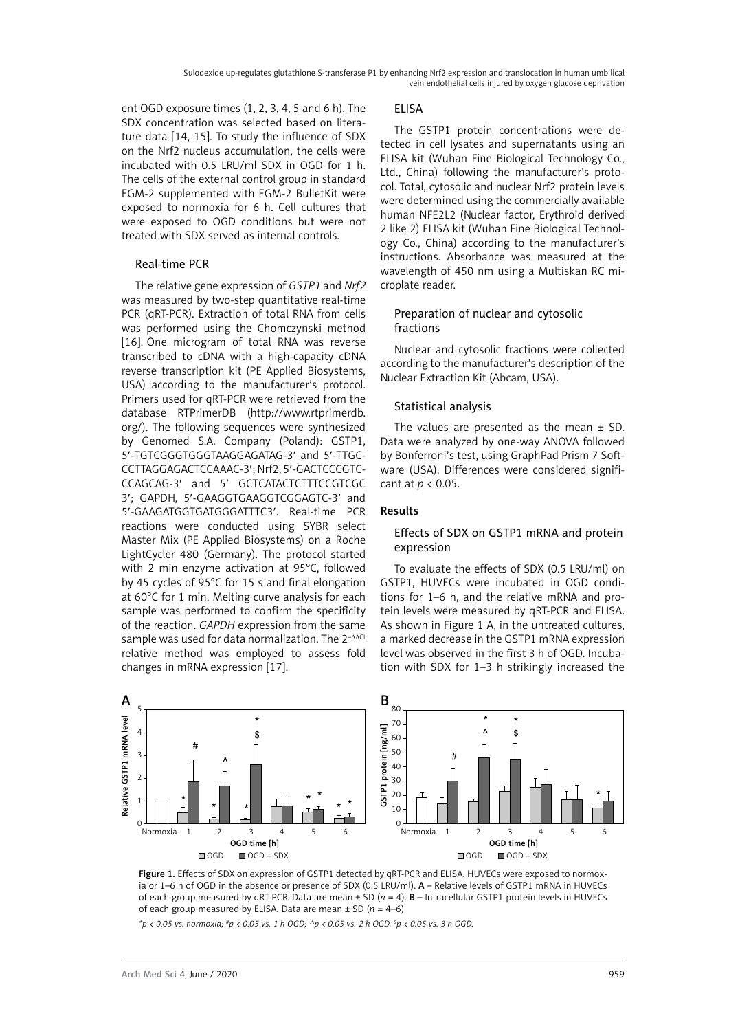ent OGD exposure times (1, 2, 3, 4, 5 and 6 h). The SDX concentration was selected based on literature data [14, 15]. To study the influence of SDX on the Nrf2 nucleus accumulation, the cells were incubated with 0.5 LRU/ml SDX in OGD for 1 h. The cells of the external control group in standard EGM-2 supplemented with EGM-2 BulletKit were exposed to normoxia for 6 h. Cell cultures that were exposed to OGD conditions but were not treated with SDX served as internal controls.

# Real-time PCR

The relative gene expression of *GSTP1* and *Nrf2*  was measured by two-step quantitative real-time PCR (qRT-PCR). Extraction of total RNA from cells was performed using the Chomczynski method [16]. One microgram of total RNA was reverse transcribed to cDNA with a high-capacity cDNA reverse transcription kit (PE Applied Biosystems, USA) according to the manufacturer's protocol. Primers used for qRT-PCR were retrieved from the database RTPrimerDB (http://www.rtprimerdb. org/). The following sequences were synthesized by Genomed S.A. Company (Poland): GSTP1, 5′-TGTCGGGTGGGTAAGGAGATAG-3′ and 5′-TTGC-CCTTAGGAGACTCCAAAC-3′; Nrf2, 5′-GACTCCCGTC-CCAGCAG-3′ and 5′ GCTCATACTCTTTCCGTCGC 3′; GAPDH, 5′-GAAGGTGAAGGTCGGAGTC-3′ and 5′-GAAGATGGTGATGGGATTTC3′. Real-time PCR reactions were conducted using SYBR select Master Mix (PE Applied Biosystems) on a Roche LightCycler 480 (Germany). The protocol started with 2 min enzyme activation at 95°C, followed by 45 cycles of 95°C for 15 s and final elongation at 60°C for 1 min. Melting curve analysis for each sample was performed to confirm the specificity of the reaction. *GAPDH* expression from the same sample was used for data normalization. The 2<sup>-ΔΔCt</sup> relative method was employed to assess fold changes in mRNA expression [17].

# ELISA

The GSTP1 protein concentrations were detected in cell lysates and supernatants using an ELISA kit (Wuhan Fine Biological Technology Co., Ltd., China) following the manufacturer's protocol. Total, cytosolic and nuclear Nrf2 protein levels were determined using the commercially available human NFE2L2 (Nuclear factor, Erythroid derived 2 like 2) ELISA kit (Wuhan Fine Biological Technology Co., China) according to the manufacturer's instructions. Absorbance was measured at the wavelength of 450 nm using a Multiskan RC microplate reader.

# Preparation of nuclear and cytosolic fractions

Nuclear and cytosolic fractions were collected according to the manufacturer's description of the Nuclear Extraction Kit (Abcam, USA).

# Statistical analysis

The values are presented as the mean  $\pm$  SD. Data were analyzed by one-way ANOVA followed by Bonferroni's test, using GraphPad Prism 7 Software (USA). Differences were considered significant at *p* < 0.05.

# Results

# Effects of SDX on GSTP1 mRNA and protein expression

To evaluate the effects of SDX (0.5 LRU/ml) on GSTP1, HUVECs were incubated in OGD conditions for 1–6 h, and the relative mRNA and protein levels were measured by qRT-PCR and ELISA. As shown in Figure 1 A, in the untreated cultures, a marked decrease in the GSTP1 mRNA expression level was observed in the first 3 h of OGD. Incubation with SDX for 1–3 h strikingly increased the



Figure 1. Effects of SDX on expression of GSTP1 detected by aRT-PCR and ELISA. HUVECs were exposed to normoxia or 1–6 h of OGD in the absence or presence of SDX (0.5 LRU/ml). A - Relative levels of GSTP1 mRNA in HUVECs of each group measured by qRT-PCR. Data are mean ± SD (*n* = 4). B – Intracellular GSTP1 protein levels in HUVECs of each group measured by ELISA. Data are mean  $\pm$  SD ( $n = 4-6$ )

*\*p < 0.05 vs. normoxia; #p < 0.05 vs. 1 h OGD; ^p < 0.05 vs. 2 h OGD. \$ p < 0.05 vs. 3 h OGD.*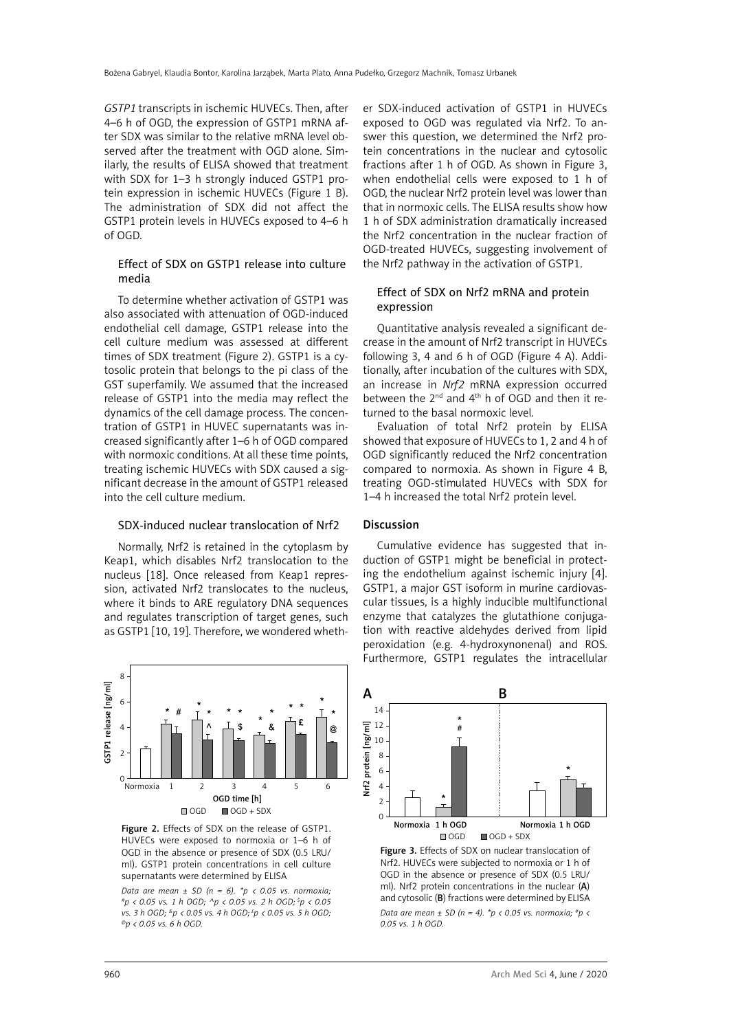*GSTP1* transcripts in ischemic HUVECs. Then, after 4–6 h of OGD, the expression of GSTP1 mRNA after SDX was similar to the relative mRNA level observed after the treatment with OGD alone. Similarly, the results of ELISA showed that treatment with SDX for 1–3 h strongly induced GSTP1 protein expression in ischemic HUVECs (Figure 1 B). The administration of SDX did not affect the GSTP1 protein levels in HUVECs exposed to 4–6 h of OGD.

## Effect of SDX on GSTP1 release into culture media

To determine whether activation of GSTP1 was also associated with attenuation of OGD-induced endothelial cell damage, GSTP1 release into the cell culture medium was assessed at different times of SDX treatment (Figure 2). GSTP1 is a cytosolic protein that belongs to the pi class of the GST superfamily. We assumed that the increased release of GSTP1 into the media may reflect the dynamics of the cell damage process. The concentration of GSTP1 in HUVEC supernatants was increased significantly after 1–6 h of OGD compared with normoxic conditions. At all these time points, treating ischemic HUVECs with SDX caused a significant decrease in the amount of GSTP1 released into the cell culture medium.

#### SDX-induced nuclear translocation of Nrf2

Normally, Nrf2 is retained in the cytoplasm by Keap1, which disables Nrf2 translocation to the nucleus [18]. Once released from Keap1 repression, activated Nrf2 translocates to the nucleus, where it binds to ARE regulatory DNA sequences and regulates transcription of target genes, such as GSTP1 [10, 19]. Therefore, we wondered wheth-



Figure 2. Effects of SDX on the release of GSTP1. HUVECs were exposed to normoxia or 1–6 h of OGD in the absence or presence of SDX (0.5 LRU/ ml). GSTP1 protein concentrations in cell culture supernatants were determined by ELISA

*Data are mean ± SD (n = 6). \*p < 0.05 vs. normoxia; #p < 0.05 vs. 1 h OGD; ^p < 0.05 vs. 2 h OGD; \$p < 0.05 vs. 3 h OGD; &p < 0.05 vs. 4 h OGD; £p < 0.05 vs. 5 h OGD; @p < 0.05 vs. 6 h OGD.*

er SDX-induced activation of GSTP1 in HUVECs exposed to OGD was regulated via Nrf2. To answer this question, we determined the Nrf2 protein concentrations in the nuclear and cytosolic fractions after 1 h of OGD. As shown in Figure 3, when endothelial cells were exposed to 1 h of OGD, the nuclear Nrf2 protein level was lower than that in normoxic cells. The ELISA results show how 1 h of SDX administration dramatically increased the Nrf2 concentration in the nuclear fraction of OGD-treated HUVECs, suggesting involvement of the Nrf2 pathway in the activation of GSTP1.

## Effect of SDX on Nrf2 mRNA and protein expression

Quantitative analysis revealed a significant decrease in the amount of Nrf2 transcript in HUVECs following 3, 4 and 6 h of OGD (Figure 4 A). Additionally, after incubation of the cultures with SDX, an increase in *Nrf2* mRNA expression occurred between the  $2^{nd}$  and  $4^{th}$  h of OGD and then it returned to the basal normoxic level.

Evaluation of total Nrf2 protein by ELISA showed that exposure of HUVECs to 1, 2 and 4 h of OGD significantly reduced the Nrf2 concentration compared to normoxia. As shown in Figure 4 B, treating OGD-stimulated HUVECs with SDX for 1–4 h increased the total Nrf2 protein level.

## Discussion

Cumulative evidence has suggested that induction of GSTP1 might be beneficial in protecting the endothelium against ischemic injury [4]. GSTP1, a major GST isoform in murine cardiovascular tissues, is a highly inducible multifunctional enzyme that catalyzes the glutathione conjugation with reactive aldehydes derived from lipid peroxidation (e.g. 4-hydroxynonenal) and ROS. Furthermore, GSTP1 regulates the intracellular



Figure 3. Effects of SDX on nuclear translocation of Nrf2. HUVECs were subjected to normoxia or 1 h of OGD in the absence or presence of SDX (0.5 LRU/ ml). Nrf2 protein concentrations in the nuclear (A) and cytosolic (B) fractions were determined by ELISA

*Data are mean ± SD (n = 4). \*p < 0.05 vs. normoxia; #p < 0.05 vs. 1 h OGD.*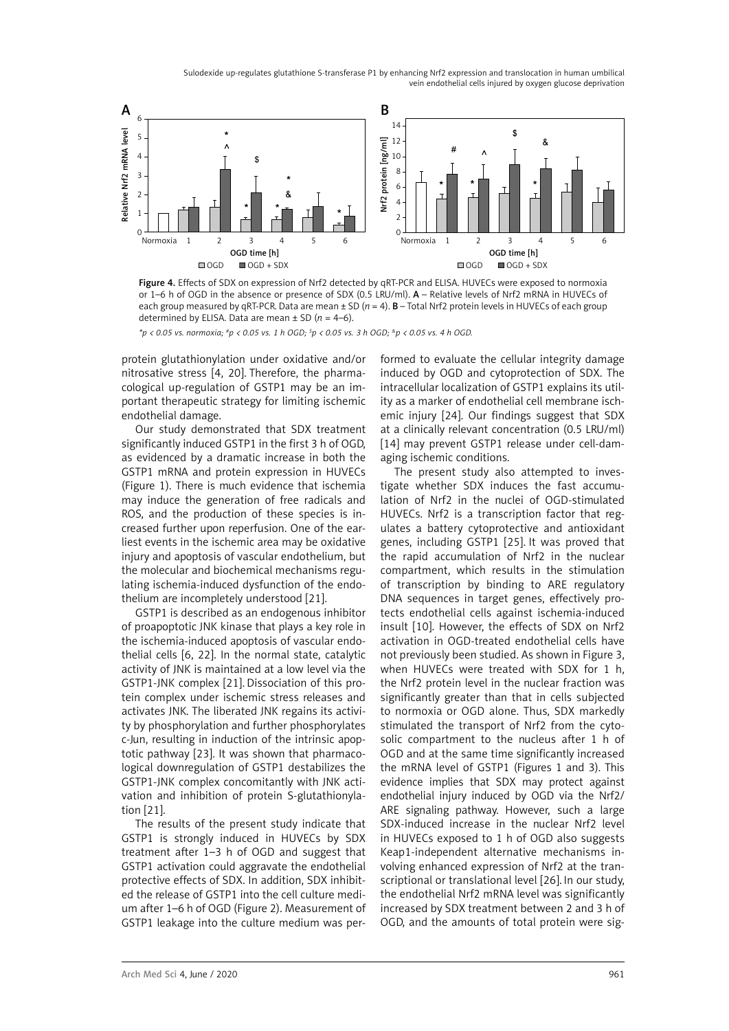Sulodexide up-regulates glutathione S-transferase P1 by enhancing Nrf2 expression and translocation in human umbilical vein endothelial cells injured by oxygen glucose deprivation



Figure 4. Effects of SDX on expression of Nrf2 detected by qRT-PCR and ELISA. HUVECs were exposed to normoxia or 1–6 h of OGD in the absence or presence of SDX (0.5 LRU/ml). A – Relative levels of Nrf2 mRNA in HUVECs of each group measured by qRT-PCR. Data are mean ± SD ( $n = 4$ ). **B** – Total Nrf2 protein levels in HUVECs of each group determined by ELISA. Data are mean  $\pm$  SD ( $n = 4-6$ ).

*\*p < 0.05 vs. normoxia; #p < 0.05 vs. 1 h OGD; \$ p < 0.05 vs. 3 h OGD; &p < 0.05 vs. 4 h OGD.*

protein glutathionylation under oxidative and/or nitrosative stress [4, 20]. Therefore, the pharmacological up-regulation of GSTP1 may be an important therapeutic strategy for limiting ischemic endothelial damage.

Our study demonstrated that SDX treatment significantly induced GSTP1 in the first 3 h of OGD, as evidenced by a dramatic increase in both the GSTP1 mRNA and protein expression in HUVECs (Figure 1). There is much evidence that ischemia may induce the generation of free radicals and ROS, and the production of these species is increased further upon reperfusion. One of the earliest events in the ischemic area may be oxidative injury and apoptosis of vascular endothelium, but the molecular and biochemical mechanisms regulating ischemia-induced dysfunction of the endothelium are incompletely understood [21].

GSTP1 is described as an endogenous inhibitor of proapoptotic JNK kinase that plays a key role in the ischemia-induced apoptosis of vascular endothelial cells [6, 22]. In the normal state, catalytic activity of JNK is maintained at a low level via the GSTP1-JNK complex [21]. Dissociation of this protein complex under ischemic stress releases and activates JNK. The liberated JNK regains its activity by phosphorylation and further phosphorylates c-Jun, resulting in induction of the intrinsic apoptotic pathway [23]. It was shown that pharmacological downregulation of GSTP1 destabilizes the GSTP1-JNK complex concomitantly with JNK activation and inhibition of protein S-glutathionylation [21].

The results of the present study indicate that GSTP1 is strongly induced in HUVECs by SDX treatment after 1–3 h of OGD and suggest that GSTP1 activation could aggravate the endothelial protective effects of SDX. In addition, SDX inhibited the release of GSTP1 into the cell culture medium after 1–6 h of OGD (Figure 2). Measurement of GSTP1 leakage into the culture medium was performed to evaluate the cellular integrity damage induced by OGD and cytoprotection of SDX. The intracellular localization of GSTP1 explains its utility as a marker of endothelial cell membrane ischemic injury [24]. Our findings suggest that SDX at a clinically relevant concentration (0.5 LRU/ml) [14] may prevent GSTP1 release under cell-damaging ischemic conditions.

The present study also attempted to investigate whether SDX induces the fast accumulation of Nrf2 in the nuclei of OGD-stimulated HUVECs. Nrf2 is a transcription factor that regulates a battery cytoprotective and antioxidant genes, including GSTP1 [25]. It was proved that the rapid accumulation of Nrf2 in the nuclear compartment, which results in the stimulation of transcription by binding to ARE regulatory DNA sequences in target genes, effectively protects endothelial cells against ischemia-induced insult [10]. However, the effects of SDX on Nrf2 activation in OGD-treated endothelial cells have not previously been studied. As shown in Figure 3, when HUVECs were treated with SDX for 1 h, the Nrf2 protein level in the nuclear fraction was significantly greater than that in cells subjected to normoxia or OGD alone. Thus, SDX markedly stimulated the transport of Nrf2 from the cytosolic compartment to the nucleus after 1 h of OGD and at the same time significantly increased the mRNA level of GSTP1 (Figures 1 and 3). This evidence implies that SDX may protect against endothelial injury induced by OGD via the Nrf2/ ARE signaling pathway. However, such a large SDX-induced increase in the nuclear Nrf2 level in HUVECs exposed to 1 h of OGD also suggests Keap1-independent alternative mechanisms involving enhanced expression of Nrf2 at the transcriptional or translational level [26]. In our study, the endothelial Nrf2 mRNA level was significantly increased by SDX treatment between 2 and 3 h of OGD, and the amounts of total protein were sig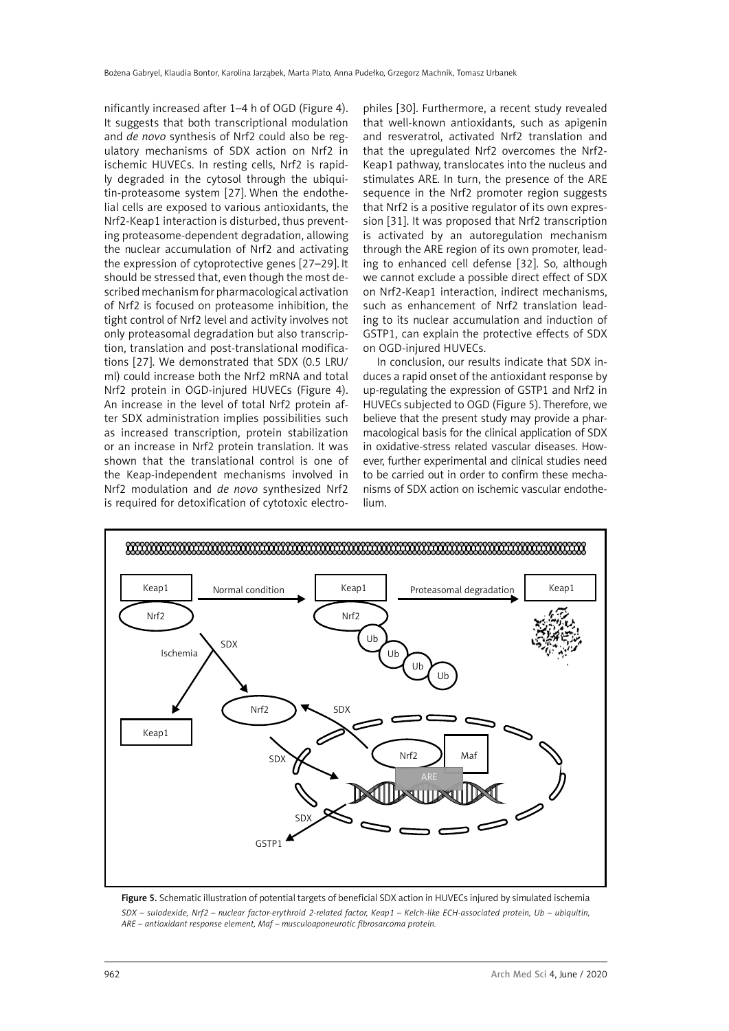nificantly increased after 1–4 h of OGD (Figure 4). It suggests that both transcriptional modulation and *de novo* synthesis of Nrf2 could also be regulatory mechanisms of SDX action on Nrf2 in ischemic HUVECs. In resting cells, Nrf2 is rapidly degraded in the cytosol through the ubiquitin-proteasome system [27]. When the endothelial cells are exposed to various antioxidants, the Nrf2-Keap1 interaction is disturbed, thus preventing proteasome-dependent degradation, allowing the nuclear accumulation of Nrf2 and activating the expression of cytoprotective genes [27–29]. It should be stressed that, even though the most described mechanism for pharmacological activation of Nrf2 is focused on proteasome inhibition, the tight control of Nrf2 level and activity involves not only proteasomal degradation but also transcription, translation and post-translational modifications [27]. We demonstrated that SDX (0.5 LRU/ ml) could increase both the Nrf2 mRNA and total Nrf2 protein in OGD-injured HUVECs (Figure 4). An increase in the level of total Nrf2 protein after SDX administration implies possibilities such as increased transcription, protein stabilization or an increase in Nrf2 protein translation. It was shown that the translational control is one of the Keap-independent mechanisms involved in Nrf2 modulation and *de novo* synthesized Nrf2 is required for detoxification of cytotoxic electro-

philes [30]. Furthermore, a recent study revealed that well-known antioxidants, such as apigenin and resveratrol, activated Nrf2 translation and that the upregulated Nrf2 overcomes the Nrf2- Keap1 pathway, translocates into the nucleus and stimulates ARE. In turn, the presence of the ARE sequence in the Nrf2 promoter region suggests that Nrf2 is a positive regulator of its own expression [31]. It was proposed that Nrf2 transcription is activated by an autoregulation mechanism through the ARE region of its own promoter, leading to enhanced cell defense [32]. So, although we cannot exclude a possible direct effect of SDX on Nrf2-Keap1 interaction, indirect mechanisms, such as enhancement of Nrf2 translation leading to its nuclear accumulation and induction of GSTP1, can explain the protective effects of SDX on OGD-injured HUVECs.

In conclusion, our results indicate that SDX induces a rapid onset of the antioxidant response by up-regulating the expression of GSTP1 and Nrf2 in HUVECs subjected to OGD (Figure 5). Therefore, we believe that the present study may provide a pharmacological basis for the clinical application of SDX in oxidative-stress related vascular diseases. However, further experimental and clinical studies need to be carried out in order to confirm these mechanisms of SDX action on ischemic vascular endothelium.



Figure 5. Schematic illustration of potential targets of beneficial SDX action in HUVECs injured by simulated ischemia *SDX – sulodexide, Nrf2 – nuclear factor-erythroid 2-related factor, Keap1 – Kelch-like ECH-associated protein, Ub – ubiquitin, ARE – antioxidant response element, Maf – musculoaponeurotic fibrosarcoma protein.*